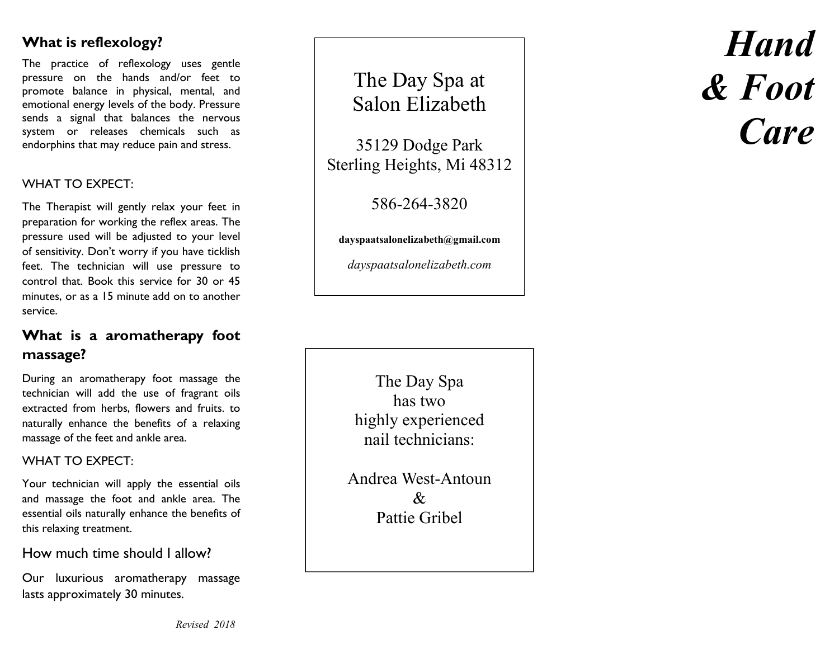# **What is reflexology?**

The practice of reflexology uses gentle pressure on the hands and/or feet to promote balance in physical, mental, and emotional energy levels of the body. Pressure sends a signal that balances the nervous system or releases chemicals such as endorphins that may reduce pain and stress.

### WHAT TO EXPECT:

The Therapist will gently relax your feet in preparation for working the reflex areas. The pressure used will be adjusted to your level of sensitivity. Don't worry if you have ticklish feet. The technician will use pressure to control that. Book this service for 30 or 45 minutes, or as a 15 minute add on to another service.

# **What is a aromatherapy foot massage?**

During an aromatherapy foot massage the technician will add the use of fragrant oils extracted from herbs, flowers and fruits. to naturally enhance the benefits of a relaxing massage of the feet and ankle area.

#### WHAT TO **EXPECT**:

Your technician will apply the essential oils and massage the foot and ankle area. The essential oils naturally enhance the benefits of this relaxing treatment.

#### How much time should I allow?

Our luxurious aromatherapy massage lasts approximately 30 minutes.

The Day Spa at Salon Elizabeth

35129 Dodge Park Sterling Heights, Mi 48312

586-264-3820

**dayspaatsalonelizabeth@gmail.com** 

*dayspaatsalonelizabeth.com* 

The Day Spa has two highly experienced nail technicians:

Andrea West-Antoun & Pattie Gribel

# *Hand & Foot Care*